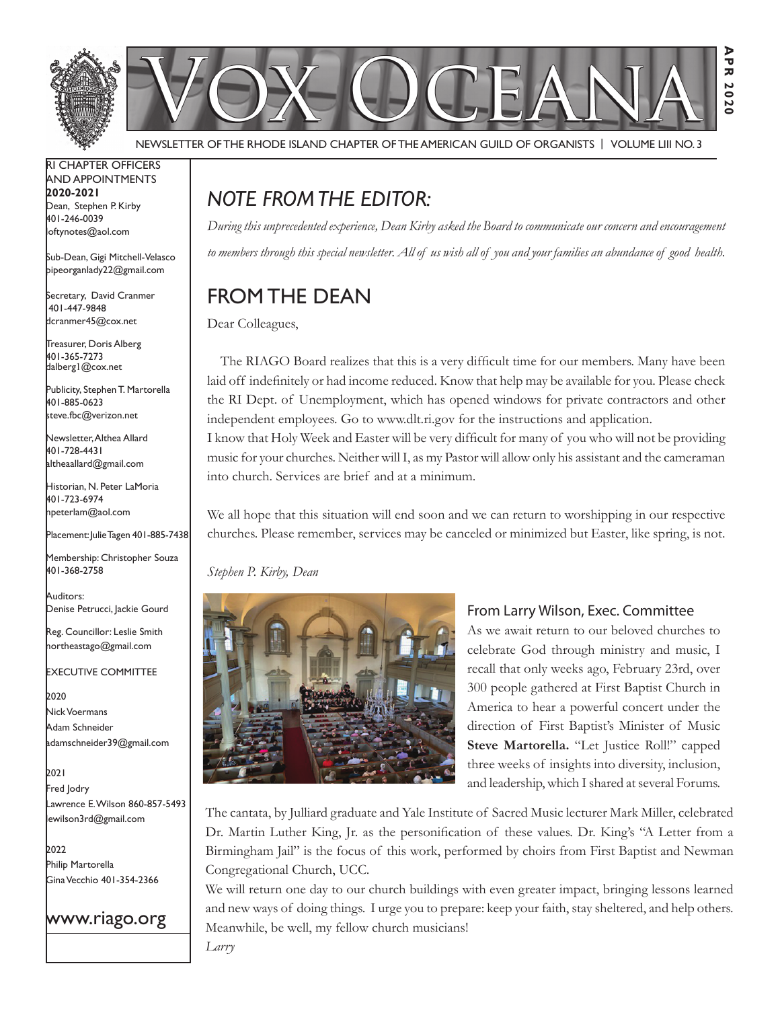

Newsletter of the Rhode Island Chapter of the American Guild of OrganistS | Volume LIII No. 3

RI Chapter Officers and Appointments **2020-2021** Dean, Stephen P. Kirby 401-246-0039 loftynotes@aol.com

Sub-Dean, Gigi Mitchell-Velasco pipeorganlady22@gmail.com

Secretary, David Cranmer 401-447-9848 dcranmer45@cox.net

Treasurer, Doris Alberg 401-365-7273 dalberg1@cox.net

I Publicity, Stephen T. Martorella 401-885-0623 steve.fbc@verizon.net

Newsletter, Althea Allard 401-728-4431 altheaallard@gmail.com

Historian, N. Peter LaMoria 401-723-6974 npeterlam@aol.com

Placement: Julie Tagen 401-885-7438

Membership: Christopher Souza 401-368-2758

Auditors: Denise Petrucci, Jackie Gourd

Reg. Councillor: Leslie Smith northeastago@gmail.com

Executive Committee

2020 Nick Voermans Adam Schneider adamschneider39@gmail.com

2021 Fred Jodry Lawrence E. Wilson 860-857-5493 lewilson3rd@gmail.com

2022 Philip Martorella Gina Vecchio 401-354-2366



## *Note from the Editor:*

*During this unprecedented experience, Dean Kirby asked the Board to communicate our concern and encouragement to members through this special newsletter. All of us wish all of you and your families an abundance of good health.* 

# From the Dean

Dear Colleagues,

 The RIAGO Board realizes that this is a very difficult time for our members. Many have been laid off indefinitely or had income reduced. Know that help may be available for you. Please check the RI Dept. of Unemployment, which has opened windows for private contractors and other independent employees. Go to www.dlt.ri.gov for the instructions and application. I know that Holy Week and Easter will be very difficult for many of you who will not be providing music for your churches. Neither will I, as my Pastor will allow only his assistant and the cameraman into church. Services are brief and at a minimum.

We all hope that this situation will end soon and we can return to worshipping in our respective churches. Please remember, services may be canceled or minimized but Easter, like spring, is not.

*Stephen P. Kirby, Dean*

*Larry*



## From Larry Wilson, Exec. Committee

**Apr 2020**

2020

マアス

As we await return to our beloved churches to celebrate God through ministry and music, I recall that only weeks ago, February 23rd, over 300 people gathered at First Baptist Church in America to hear a powerful concert under the direction of First Baptist's Minister of Music **Steve Martorella.** "Let Justice Roll!" capped three weeks of insights into diversity, inclusion, and leadership, which I shared at several Forums.

The cantata, by Julliard graduate and Yale Institute of Sacred Music lecturer Mark Miller, celebrated Dr. Martin Luther King, Jr. as the personification of these values. Dr. King's "A Letter from a Birmingham Jail" is the focus of this work, performed by choirs from First Baptist and Newman Congregational Church, UCC.

We will return one day to our church buildings with even greater impact, bringing lessons learned and new ways of doing things. I urge you to prepare: keep your faith, stay sheltered, and help others. Meanwhile, be well, my fellow church musicians!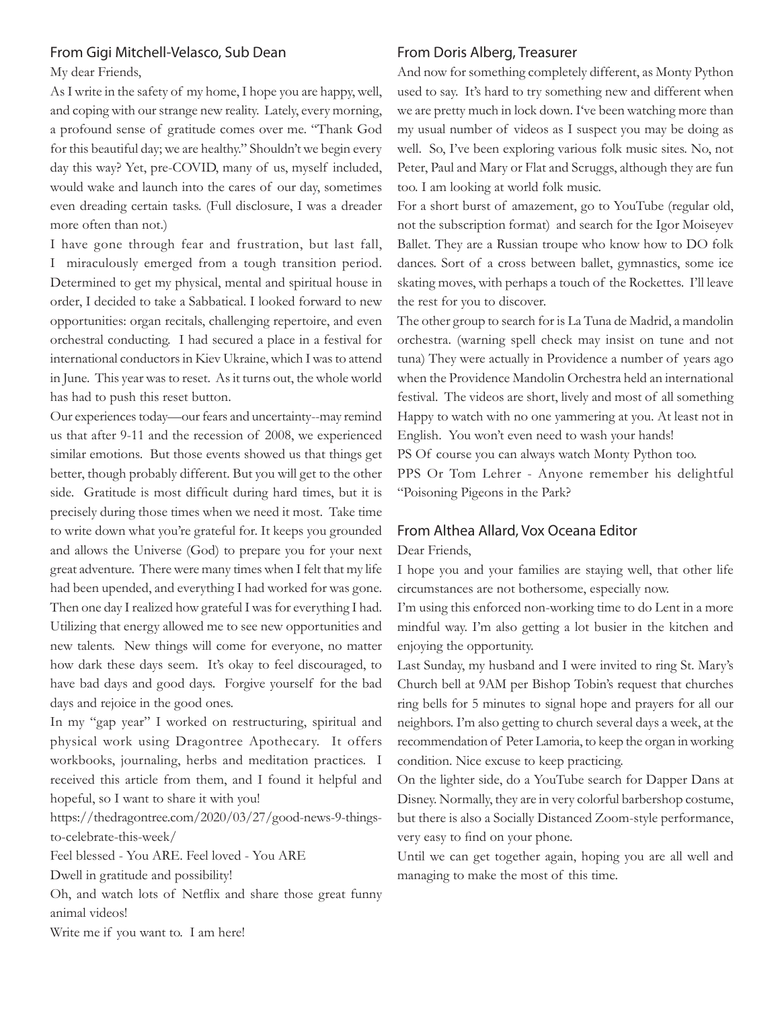### From Gigi Mitchell-Velasco, Sub Dean

My dear Friends,

As I write in the safety of my home, I hope you are happy, well, and coping with our strange new reality. Lately, every morning, a profound sense of gratitude comes over me. "Thank God for this beautiful day; we are healthy." Shouldn't we begin every day this way? Yet, pre-COVID, many of us, myself included, would wake and launch into the cares of our day, sometimes even dreading certain tasks. (Full disclosure, I was a dreader more often than not.)

I have gone through fear and frustration, but last fall, I miraculously emerged from a tough transition period. Determined to get my physical, mental and spiritual house in order, I decided to take a Sabbatical. I looked forward to new opportunities: organ recitals, challenging repertoire, and even orchestral conducting. I had secured a place in a festival for international conductors in Kiev Ukraine, which I was to attend in June. This year was to reset. As it turns out, the whole world has had to push this reset button.

Our experiences today—our fears and uncertainty--may remind us that after 9-11 and the recession of 2008, we experienced similar emotions. But those events showed us that things get better, though probably different. But you will get to the other side. Gratitude is most difficult during hard times, but it is precisely during those times when we need it most. Take time to write down what you're grateful for. It keeps you grounded and allows the Universe (God) to prepare you for your next great adventure. There were many times when I felt that my life had been upended, and everything I had worked for was gone. Then one day I realized how grateful I was for everything I had. Utilizing that energy allowed me to see new opportunities and new talents. New things will come for everyone, no matter how dark these days seem. It's okay to feel discouraged, to have bad days and good days. Forgive yourself for the bad days and rejoice in the good ones.

In my "gap year" I worked on restructuring, spiritual and physical work using Dragontree Apothecary. It offers workbooks, journaling, herbs and meditation practices. I received this article from them, and I found it helpful and hopeful, so I want to share it with you!

https://thedragontree.com/2020/03/27/good-news-9-thingsto-celebrate-this-week/

Feel blessed - You ARE. Feel loved - You ARE

Dwell in gratitude and possibility!

Oh, and watch lots of Netflix and share those great funny animal videos!

Write me if you want to. I am here!

### From Doris Alberg, Treasurer

And now for something completely different, as Monty Python used to say. It's hard to try something new and different when we are pretty much in lock down. I've been watching more than my usual number of videos as I suspect you may be doing as well. So, I've been exploring various folk music sites. No, not Peter, Paul and Mary or Flat and Scruggs, although they are fun too. I am looking at world folk music.

For a short burst of amazement, go to YouTube (regular old, not the subscription format) and search for the Igor Moiseyev Ballet. They are a Russian troupe who know how to DO folk dances. Sort of a cross between ballet, gymnastics, some ice skating moves, with perhaps a touch of the Rockettes. I'll leave the rest for you to discover.

The other group to search for is La Tuna de Madrid, a mandolin orchestra. (warning spell check may insist on tune and not tuna) They were actually in Providence a number of years ago when the Providence Mandolin Orchestra held an international festival. The videos are short, lively and most of all something Happy to watch with no one yammering at you. At least not in English. You won't even need to wash your hands!

PS Of course you can always watch Monty Python too.

PPS Or Tom Lehrer - Anyone remember his delightful "Poisoning Pigeons in the Park?

### From Althea Allard, Vox Oceana Editor

Dear Friends,

I hope you and your families are staying well, that other life circumstances are not bothersome, especially now.

I'm using this enforced non-working time to do Lent in a more mindful way. I'm also getting a lot busier in the kitchen and enjoying the opportunity.

Last Sunday, my husband and I were invited to ring St. Mary's Church bell at 9AM per Bishop Tobin's request that churches ring bells for 5 minutes to signal hope and prayers for all our neighbors. I'm also getting to church several days a week, at the recommendation of Peter Lamoria, to keep the organ in working condition. Nice excuse to keep practicing.

On the lighter side, do a YouTube search for Dapper Dans at Disney. Normally, they are in very colorful barbershop costume, but there is also a Socially Distanced Zoom-style performance, very easy to find on your phone.

Until we can get together again, hoping you are all well and managing to make the most of this time.